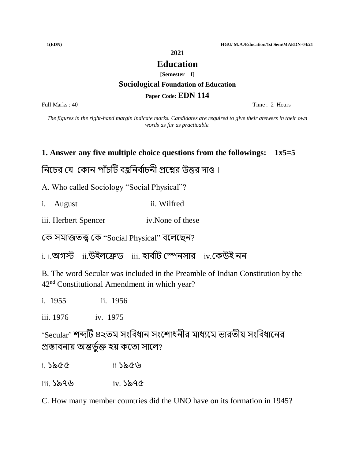**1(EDN) HGU/ M.A./Education/1st Sem/MAEDN-04/21**

**2021**

#### **Education**

**[Semester – I]**

#### **Sociological Foundation of Education**

#### **Paper Code: EDN 114**

Full Marks : 40 Time : 2 Hours

*The figures in the right-hand margin indicate marks. Candidates are required to give their answers in their own words as far as practicable.*

#### **1. Answer any five multiple choice questions from the followings: 1x5=5**

## নিচের যে কোন পাঁচটি বহুনির্বাচনী প্রশ্নের উত্তর দাও ।

A. Who called Sociology "Social Physical"?

- i. August ii. Wilfred
- iii. Herbert Spencer iv.None of these

কে সমাজতত্ত্ব কে "Social Physical" বলেছেন?

 $\,$ i. i.অগস্ট  $\,$  ii.উইলফ্রেড  $\,$  iii. হার্বাট স্পেনসার  $\,$  iv.কেউই নন

B. The word Secular was included in the Preamble of Indian Constitution by the 42nd Constitutional Amendment in which year?

i. 1955 ii. 1956

iii. 1976 iv. 1975

'Secular' শব্দটি ৪২তম সংবিধান সংশোধনীর মাধ্যমে ভারতীয় সংবিধানের প্রস্তাবনায় অন্তৰ্ভুক্ত হয় কতো সালে?

i. ১৯৫৫ ii ১৯৫৬

iii. ১৯৭৬ iv. ১৯৭৫

C. How many member countries did the UNO have on its formation in 1945?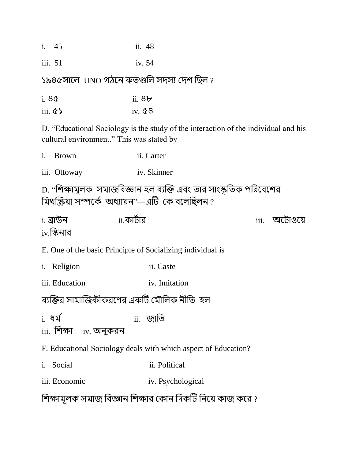| i. 45 | ii. 48 |  |
|-------|--------|--|
|-------|--------|--|

iii. 51 iv. 54

১৯৪৫সালে UNO গঠনে কতগুলি সদস্য দেশ ছিল ?

- i. ৪৫ ii. ৪৮
- iii.  $\&$  iv.  $\&$  8

D. "Educational Sociology is the study of the interaction of the individual and his cultural environment." This was stated by

- i. Brown ii. Carter
- iii. Ottoway iv. Skinner

D. "শিক্ষামূলক সমাজবিজ্ঞান হল ব্যক্তি এবং তার সাংস্কৃতিক পরিবেশের মিথক্ক্ৰিয়া সম্পৰ্কে অধ্যায়ন"—এটি কে বলেছিলন ?

i. ব্রোউি ii. োিবোর iii. অচিোওচয়  $iv$ .স্কিনার

E. One of the basic Principle of Socializing individual is

- i. Religion ii. Caste
- iii. Education iv. Imitation

## ব্যক্তির সামাজিকীকরণের একটি মৌলিক নীতি হল

- <u>i.</u> ধৰ্ম বা আৰু বিভি
- $iii.$  শিক্ষা iv. অনুকরন
- F. Educational Sociology deals with which aspect of Education?
- i. Social ii. Political
- iii. Economic iv. Psychological

শিক্ষামূলক সমাজ বিজ্ঞান শিক্ষার কোন দিকটি নিয়ে কাজ করে ?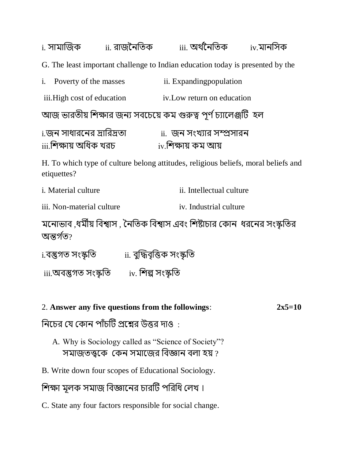i. সামাজিক ii. রাজনৈতিক iii. অর্থনৈতিক iv.মানসিক G. The least important challenge to Indian education today is presented by the i. Poverty of the masses ii. Expanding population iii.High cost of education iv.Low return on education আজ ভারতীয় শিক্ষার জন্য সবচেয়ে কম গুরুত্ব পূর্ণ চ্যালেঞ্জটি হল i.জন সাধারনের দ্রারিদ্রতা <u>ii. জন সংখ্যার সম্প্রসার</u>ন  $\overline{\text{iii}}$ শিক্ষায় অধিক খরচ $\overline{\text{iv}}$  iv.শিক্ষায় কম আয়

H. To which type of culture belong attitudes, religious beliefs, moral beliefs and etiquettes?

| <i>i.</i> Material culture | ii. Intellectual culture |
|----------------------------|--------------------------|
|----------------------------|--------------------------|

iii. Non-material culture is example iv. Industrial culture

মনোভাব ,ধর্মীয় বিশ্বাস , নৈতিক বিশ্বাস এবং শিষ্টাচার কোন ধরনের সংস্কৃতির অন্তৰ্গত?

i.বস্তুগত সংস্কৃনত ii. বুক্তিবৃনত্ত সংস্কৃনত

iii.অবস্তুগত সংস্কৃনত iv. নশল্প সংস্কৃনত

## 2. **Answer any five questions from the followings**: **2x5=10**

নিচের যে কোন পাঁচটি প্রশ্নের উত্তর দাও $\,$  :

- A. Why is Sociology called as "Science of Society"? সমাজতত্ত্বকে কেন সমাজের বিজ্ঞান বলা হয় ?
- B. Write down four scopes of Educational Sociology.

শিক্ষা মূলক সমাজ বিজ্ঞানের চারটি পরিধি লেখ।

C. State any four factors responsible for social change.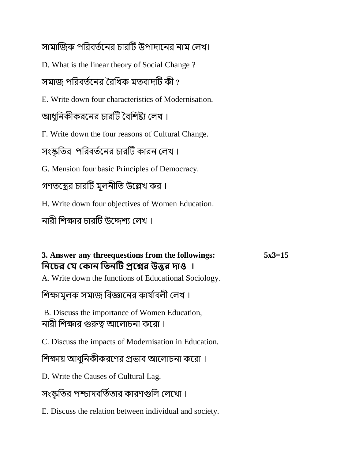সামাজিক পরিবর্তনের চারটি উপাদানের নাম লেখ।

D. What is the linear theory of Social Change ?

সমাজ পরিবর্তনের রৈখিক মতবাদটি কী ?

E. Write down four characteristics of Modernisation.

আধুনিকীকরনের চারটি বৈশিষ্ট্য লেখ।

F. Write down the four reasons of Cultural Change.

সংস্কৃতির পরিবর্তনের চারটি কারন লেখ।

G. Mension four basic Principles of Democracy.

গণতন্ত্রের চারটি মূলনীতি উল্লেখ কর।

H. Write down four objectives of Women Education.

নারী শিক্ষার চারটি উদ্দেশ্য লেখ ।

# **3. Answer any threequestions from the followings: 5x3=15 নিচের যে য োি নিিটি প্রচের উত্তর দোও ।**  A. Write down the functions of Educational Sociology. শিক্ষামূলক সমাজ বিজ্ঞানের কার্যাবলী লেখ।

B. Discuss the importance of Women Education, নারী শিক্ষার গুরুত্ব আলোচনা করো।

C. Discuss the impacts of Modernisation in Education.

শিক্ষায় আধুনিকীকরণের প্রভাব আলোচনা করো।

D. Write the Causes of Cultural Lag.

সংস্কৃতির পশ্চাদবর্তিতার কারণগুলি লেখো।

E. Discuss the relation between individual and society.